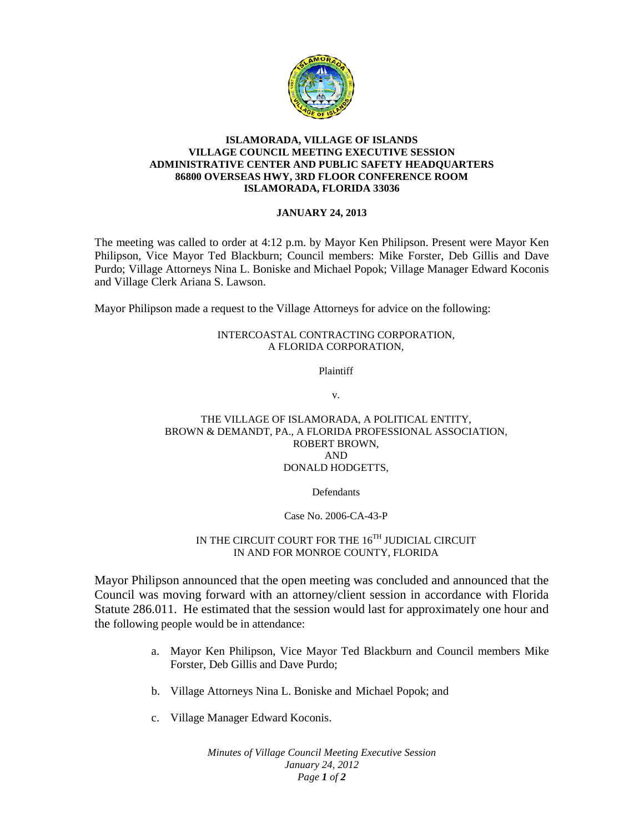

### **ISLAMORADA, VILLAGE OF ISLANDS VILLAGE COUNCIL MEETING EXECUTIVE SESSION ADMINISTRATIVE CENTER AND PUBLIC SAFETY HEADQUARTERS 86800 OVERSEAS HWY, 3RD FLOOR CONFERENCE ROOM ISLAMORADA, FLORIDA 33036**

### **JANUARY 24, 2013**

The meeting was called to order at 4:12 p.m. by Mayor Ken Philipson. Present were Mayor Ken Philipson, Vice Mayor Ted Blackburn; Council members: Mike Forster, Deb Gillis and Dave Purdo; Village Attorneys Nina L. Boniske and Michael Popok; Village Manager Edward Koconis and Village Clerk Ariana S. Lawson.

Mayor Philipson made a request to the Village Attorneys for advice on the following:

### INTERCOASTAL CONTRACTING CORPORATION, A FLORIDA CORPORATION,

Plaintiff

v.

### THE VILLAGE OF ISLAMORADA, A POLITICAL ENTITY, BROWN & DEMANDT, PA., A FLORIDA PROFESSIONAL ASSOCIATION, ROBERT BROWN, AND DONALD HODGETTS,

# Defendants

# Case No. 2006-CA-43-P

# IN THE CIRCUIT COURT FOR THE  $16^{TH}$  JUDICIAL CIRCUIT IN AND FOR MONROE COUNTY, FLORIDA

Mayor Philipson announced that the open meeting was concluded and announced that the Council was moving forward with an attorney/client session in accordance with Florida Statute 286.011. He estimated that the session would last for approximately one hour and the following people would be in attendance:

- a. Mayor Ken Philipson, Vice Mayor Ted Blackburn and Council members Mike Forster, Deb Gillis and Dave Purdo;
- b. Village Attorneys Nina L. Boniske and Michael Popok; and
- c. Village Manager Edward Koconis.

*Minutes of Village Council Meeting Executive Session January 24, 2012 Page 1 of 2*